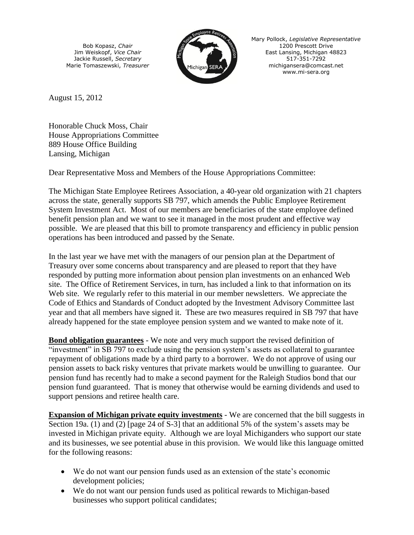Bob Kopasz, *Chair* Jim Weiskopf, *Vice Chair* Jackie Russell, *Secretary* Marie Tomaszewski, *Treasurer*



Mary Pollock, *Legislative Representative* 1200 Prescott Drive East Lansing, Michigan 48823 517-351-7292 [michigansera@comcast.net](mailto:mi-sera@comcast.net) www.mi-sera.org

August 15, 2012

Honorable Chuck Moss, Chair House Appropriations Committee 889 House Office Building Lansing, Michigan

Dear Representative Moss and Members of the House Appropriations Committee:

The Michigan State Employee Retirees Association, a 40-year old organization with 21 chapters across the state, generally supports SB 797, which amends the Public Employee Retirement System Investment Act. Most of our members are beneficiaries of the state employee defined benefit pension plan and we want to see it managed in the most prudent and effective way possible. We are pleased that this bill to promote transparency and efficiency in public pension operations has been introduced and passed by the Senate.

In the last year we have met with the managers of our pension plan at the Department of Treasury over some concerns about transparency and are pleased to report that they have responded by putting more information about pension plan investments on an enhanced Web site. The Office of Retirement Services, in turn, has included a link to that information on its Web site. We regularly refer to this material in our member newsletters. We appreciate the Code of Ethics and Standards of Conduct adopted by the Investment Advisory Committee last year and that all members have signed it. These are two measures required in SB 797 that have already happened for the state employee pension system and we wanted to make note of it.

**Bond obligation guarantees** - We note and very much support the revised definition of "investment" in SB 797 to exclude using the pension system's assets as collateral to guarantee repayment of obligations made by a third party to a borrower. We do not approve of using our pension assets to back risky ventures that private markets would be unwilling to guarantee. Our pension fund has recently had to make a second payment for the Raleigh Studios bond that our pension fund guaranteed. That is money that otherwise would be earning dividends and used to support pensions and retiree health care.

**Expansion of Michigan private equity investments** - We are concerned that the bill suggests in Section 19a. (1) and (2) [page 24 of S-3] that an additional 5% of the system's assets may be invested in Michigan private equity. Although we are loyal Michiganders who support our state and its businesses, we see potential abuse in this provision. We would like this language omitted for the following reasons:

- We do not want our pension funds used as an extension of the state's economic development policies;
- We do not want our pension funds used as political rewards to Michigan-based businesses who support political candidates;